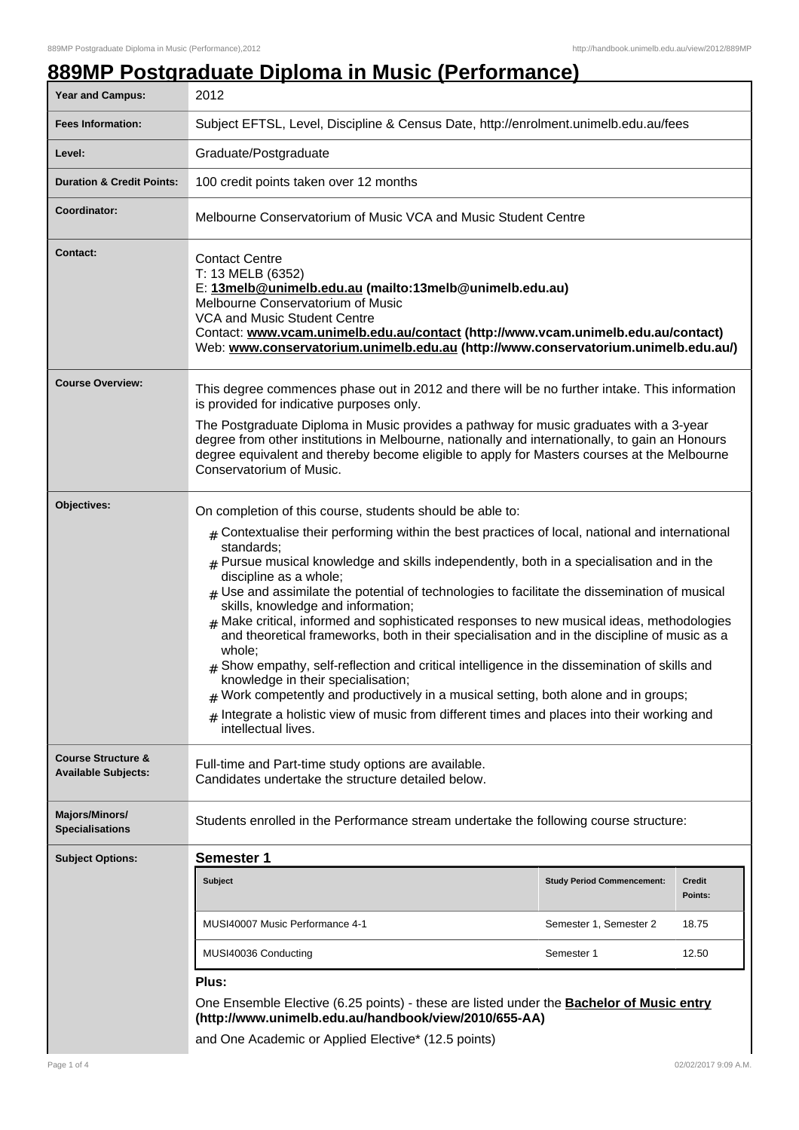# **889MP Postgraduate Diploma in Music (Performance)**

| <b>Year and Campus:</b>                                     | 2012                                                                                                                                                                                                                                                                                                                                                                                                                                                                                                                                                                                                                                                                                                                                                                                                                                                                                                                                                                                                        |                                   |                          |
|-------------------------------------------------------------|-------------------------------------------------------------------------------------------------------------------------------------------------------------------------------------------------------------------------------------------------------------------------------------------------------------------------------------------------------------------------------------------------------------------------------------------------------------------------------------------------------------------------------------------------------------------------------------------------------------------------------------------------------------------------------------------------------------------------------------------------------------------------------------------------------------------------------------------------------------------------------------------------------------------------------------------------------------------------------------------------------------|-----------------------------------|--------------------------|
| <b>Fees Information:</b>                                    | Subject EFTSL, Level, Discipline & Census Date, http://enrolment.unimelb.edu.au/fees                                                                                                                                                                                                                                                                                                                                                                                                                                                                                                                                                                                                                                                                                                                                                                                                                                                                                                                        |                                   |                          |
| Level:                                                      | Graduate/Postgraduate                                                                                                                                                                                                                                                                                                                                                                                                                                                                                                                                                                                                                                                                                                                                                                                                                                                                                                                                                                                       |                                   |                          |
| <b>Duration &amp; Credit Points:</b>                        | 100 credit points taken over 12 months                                                                                                                                                                                                                                                                                                                                                                                                                                                                                                                                                                                                                                                                                                                                                                                                                                                                                                                                                                      |                                   |                          |
| Coordinator:                                                | Melbourne Conservatorium of Music VCA and Music Student Centre                                                                                                                                                                                                                                                                                                                                                                                                                                                                                                                                                                                                                                                                                                                                                                                                                                                                                                                                              |                                   |                          |
| <b>Contact:</b>                                             | <b>Contact Centre</b><br>T: 13 MELB (6352)<br>E: 13melb@unimelb.edu.au (mailto:13melb@unimelb.edu.au)<br>Melbourne Conservatorium of Music<br>VCA and Music Student Centre<br>Contact: www.vcam.unimelb.edu.au/contact (http://www.vcam.unimelb.edu.au/contact)<br>Web: www.conservatorium.unimelb.edu.au (http://www.conservatorium.unimelb.edu.au/)                                                                                                                                                                                                                                                                                                                                                                                                                                                                                                                                                                                                                                                       |                                   |                          |
| <b>Course Overview:</b>                                     | This degree commences phase out in 2012 and there will be no further intake. This information<br>is provided for indicative purposes only.<br>The Postgraduate Diploma in Music provides a pathway for music graduates with a 3-year<br>degree from other institutions in Melbourne, nationally and internationally, to gain an Honours<br>degree equivalent and thereby become eligible to apply for Masters courses at the Melbourne<br>Conservatorium of Music.                                                                                                                                                                                                                                                                                                                                                                                                                                                                                                                                          |                                   |                          |
| Objectives:                                                 | On completion of this course, students should be able to:<br>$*$ Contextualise their performing within the best practices of local, national and international<br>standards;<br>$#$ Pursue musical knowledge and skills independently, both in a specialisation and in the<br>discipline as a whole;<br>$#$ Use and assimilate the potential of technologies to facilitate the dissemination of musical<br>skills, knowledge and information;<br>$#$ Make critical, informed and sophisticated responses to new musical ideas, methodologies<br>and theoretical frameworks, both in their specialisation and in the discipline of music as a<br>whole;<br>Show empathy, self-reflection and critical intelligence in the dissemination of skills and<br>knowledge in their specialisation;<br>$#$ Work competently and productively in a musical setting, both alone and in groups;<br>$#$ Integrate a holistic view of music from different times and places into their working and<br>intellectual lives. |                                   |                          |
| <b>Course Structure &amp;</b><br><b>Available Subjects:</b> | Full-time and Part-time study options are available.<br>Candidates undertake the structure detailed below.                                                                                                                                                                                                                                                                                                                                                                                                                                                                                                                                                                                                                                                                                                                                                                                                                                                                                                  |                                   |                          |
| <b>Majors/Minors/</b><br><b>Specialisations</b>             | Students enrolled in the Performance stream undertake the following course structure:                                                                                                                                                                                                                                                                                                                                                                                                                                                                                                                                                                                                                                                                                                                                                                                                                                                                                                                       |                                   |                          |
| <b>Subject Options:</b>                                     | Semester 1                                                                                                                                                                                                                                                                                                                                                                                                                                                                                                                                                                                                                                                                                                                                                                                                                                                                                                                                                                                                  |                                   |                          |
|                                                             | <b>Subject</b>                                                                                                                                                                                                                                                                                                                                                                                                                                                                                                                                                                                                                                                                                                                                                                                                                                                                                                                                                                                              | <b>Study Period Commencement:</b> | <b>Credit</b><br>Points: |
|                                                             | MUSI40007 Music Performance 4-1                                                                                                                                                                                                                                                                                                                                                                                                                                                                                                                                                                                                                                                                                                                                                                                                                                                                                                                                                                             | Semester 1, Semester 2            | 18.75                    |
|                                                             | MUSI40036 Conducting<br>Semester 1                                                                                                                                                                                                                                                                                                                                                                                                                                                                                                                                                                                                                                                                                                                                                                                                                                                                                                                                                                          |                                   | 12.50                    |
|                                                             | Plus:                                                                                                                                                                                                                                                                                                                                                                                                                                                                                                                                                                                                                                                                                                                                                                                                                                                                                                                                                                                                       |                                   |                          |
|                                                             | One Ensemble Elective (6.25 points) - these are listed under the <b>Bachelor of Music entry</b><br>(http://www.unimelb.edu.au/handbook/view/2010/655-AA)                                                                                                                                                                                                                                                                                                                                                                                                                                                                                                                                                                                                                                                                                                                                                                                                                                                    |                                   |                          |

and One Academic or Applied Elective\* (12.5 points)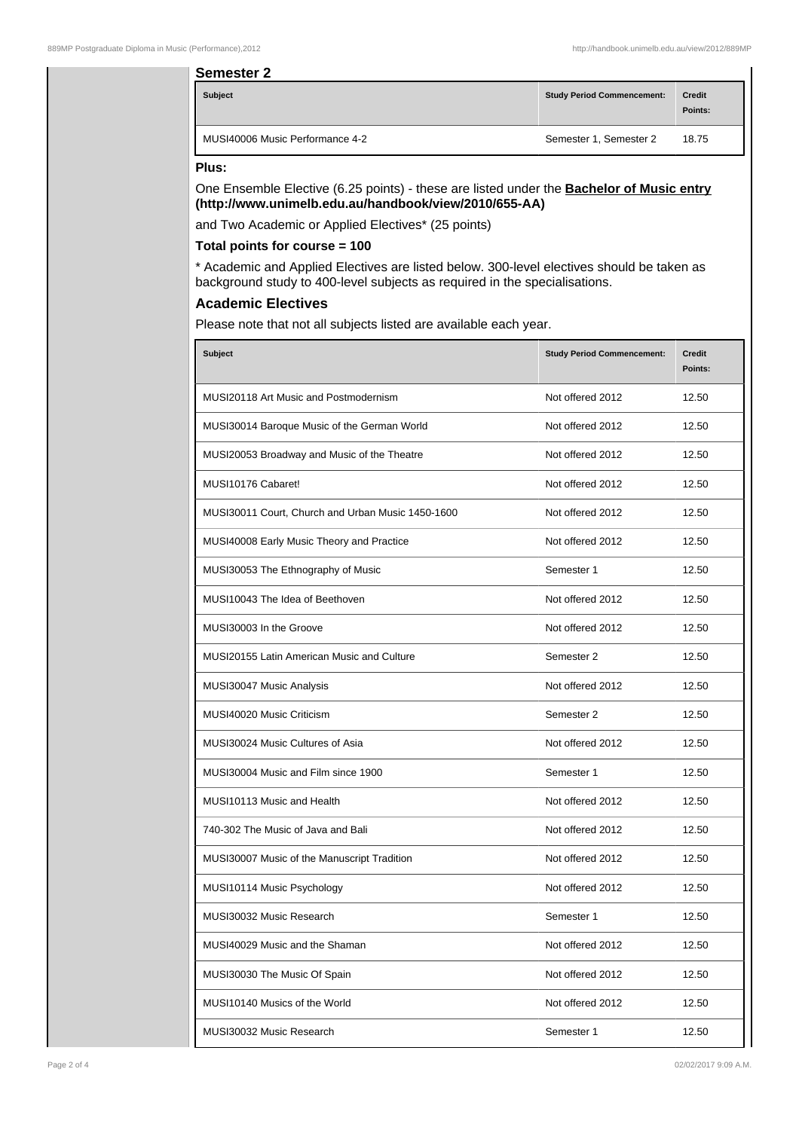#### **Semester 2**

| <b>Subject</b>                  | <b>Study Period Commencement:</b> | <b>Credit</b><br>Points: |
|---------------------------------|-----------------------------------|--------------------------|
| MUSI40006 Music Performance 4-2 | Semester 1, Semester 2            | 18.75                    |

#### **Plus:**

One Ensemble Elective (6.25 points) - these are listed under the **Bachelor of Music entry (http://www.unimelb.edu.au/handbook/view/2010/655-AA)**

and Two Academic or Applied Electives\* (25 points)

### **Total points for course = 100**

\* Academic and Applied Electives are listed below. 300-level electives should be taken as background study to 400-level subjects as required in the specialisations.

## **Academic Electives**

Please note that not all subjects listed are available each year.

| <b>Subject</b>                                    | <b>Study Period Commencement:</b> | <b>Credit</b><br>Points: |
|---------------------------------------------------|-----------------------------------|--------------------------|
| MUSI20118 Art Music and Postmodernism             | Not offered 2012                  | 12.50                    |
| MUSI30014 Baroque Music of the German World       | Not offered 2012                  | 12.50                    |
| MUSI20053 Broadway and Music of the Theatre       | Not offered 2012                  | 12.50                    |
| MUSI10176 Cabaret!                                | Not offered 2012                  | 12.50                    |
| MUSI30011 Court, Church and Urban Music 1450-1600 | Not offered 2012                  | 12.50                    |
| MUSI40008 Early Music Theory and Practice         | Not offered 2012                  | 12.50                    |
| MUSI30053 The Ethnography of Music                | Semester 1                        | 12.50                    |
| MUSI10043 The Idea of Beethoven                   | Not offered 2012                  | 12.50                    |
| MUSI30003 In the Groove                           | Not offered 2012                  | 12.50                    |
| MUSI20155 Latin American Music and Culture        | Semester 2                        | 12.50                    |
| MUSI30047 Music Analysis                          | Not offered 2012                  | 12.50                    |
| MUSI40020 Music Criticism                         | Semester 2                        | 12.50                    |
| MUSI30024 Music Cultures of Asia                  | Not offered 2012                  | 12.50                    |
| MUSI30004 Music and Film since 1900               | Semester 1                        | 12.50                    |
| MUSI10113 Music and Health                        | Not offered 2012                  | 12.50                    |
| 740-302 The Music of Java and Bali                | Not offered 2012                  | 12.50                    |
| MUSI30007 Music of the Manuscript Tradition       | Not offered 2012                  | 12.50                    |
| MUSI10114 Music Psychology                        | Not offered 2012                  | 12.50                    |
| MUSI30032 Music Research                          | Semester 1                        | 12.50                    |
| MUSI40029 Music and the Shaman                    | Not offered 2012                  | 12.50                    |
| MUSI30030 The Music Of Spain                      | Not offered 2012                  | 12.50                    |
| MUSI10140 Musics of the World                     | Not offered 2012                  | 12.50                    |
| MUSI30032 Music Research                          | Semester 1                        | 12.50                    |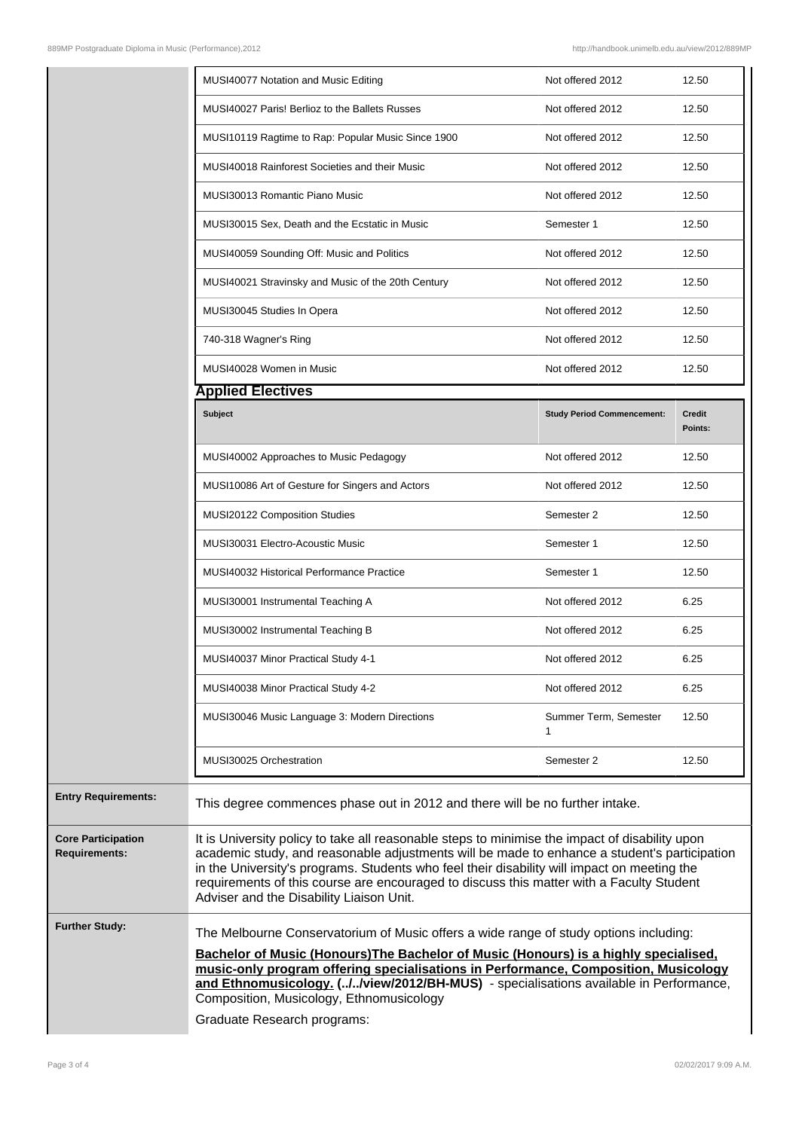|                                                   | MUSI40077 Notation and Music Editing                                                                                                                                                                                                                                                                                                                                                                                                  | Not offered 2012                  | 12.50             |
|---------------------------------------------------|---------------------------------------------------------------------------------------------------------------------------------------------------------------------------------------------------------------------------------------------------------------------------------------------------------------------------------------------------------------------------------------------------------------------------------------|-----------------------------------|-------------------|
|                                                   | MUSI40027 Paris! Berlioz to the Ballets Russes                                                                                                                                                                                                                                                                                                                                                                                        | Not offered 2012                  | 12.50             |
|                                                   | MUSI10119 Ragtime to Rap: Popular Music Since 1900                                                                                                                                                                                                                                                                                                                                                                                    | Not offered 2012                  | 12.50             |
|                                                   | MUSI40018 Rainforest Societies and their Music                                                                                                                                                                                                                                                                                                                                                                                        | Not offered 2012                  | 12.50             |
|                                                   | MUSI30013 Romantic Piano Music                                                                                                                                                                                                                                                                                                                                                                                                        | Not offered 2012                  | 12.50             |
|                                                   | MUSI30015 Sex, Death and the Ecstatic in Music                                                                                                                                                                                                                                                                                                                                                                                        | Semester 1                        | 12.50             |
|                                                   | MUSI40059 Sounding Off: Music and Politics                                                                                                                                                                                                                                                                                                                                                                                            | Not offered 2012                  | 12.50             |
|                                                   | MUSI40021 Stravinsky and Music of the 20th Century                                                                                                                                                                                                                                                                                                                                                                                    | Not offered 2012                  | 12.50             |
|                                                   | MUSI30045 Studies In Opera                                                                                                                                                                                                                                                                                                                                                                                                            | Not offered 2012                  | 12.50             |
|                                                   | 740-318 Wagner's Ring                                                                                                                                                                                                                                                                                                                                                                                                                 | Not offered 2012                  | 12.50             |
|                                                   | MUSI40028 Women in Music                                                                                                                                                                                                                                                                                                                                                                                                              | Not offered 2012                  | 12.50             |
|                                                   | <b>Applied Electives</b>                                                                                                                                                                                                                                                                                                                                                                                                              |                                   |                   |
|                                                   | Subject                                                                                                                                                                                                                                                                                                                                                                                                                               | <b>Study Period Commencement:</b> | Credit<br>Points: |
|                                                   | MUSI40002 Approaches to Music Pedagogy                                                                                                                                                                                                                                                                                                                                                                                                | Not offered 2012                  | 12.50             |
|                                                   | MUSI10086 Art of Gesture for Singers and Actors                                                                                                                                                                                                                                                                                                                                                                                       | Not offered 2012                  | 12.50             |
|                                                   | MUSI20122 Composition Studies                                                                                                                                                                                                                                                                                                                                                                                                         | Semester 2                        | 12.50             |
|                                                   | MUSI30031 Electro-Acoustic Music                                                                                                                                                                                                                                                                                                                                                                                                      | Semester 1                        | 12.50             |
|                                                   | <b>MUSI40032 Historical Performance Practice</b>                                                                                                                                                                                                                                                                                                                                                                                      | Semester 1                        | 12.50             |
|                                                   | MUSI30001 Instrumental Teaching A                                                                                                                                                                                                                                                                                                                                                                                                     | Not offered 2012                  | 6.25              |
|                                                   | MUSI30002 Instrumental Teaching B                                                                                                                                                                                                                                                                                                                                                                                                     | Not offered 2012                  | 6.25              |
|                                                   | MUSI40037 Minor Practical Study 4-1                                                                                                                                                                                                                                                                                                                                                                                                   | Not offered 2012                  | 6.25              |
|                                                   | MUSI40038 Minor Practical Study 4-2                                                                                                                                                                                                                                                                                                                                                                                                   | Not offered 2012                  | 6.25              |
|                                                   | MUSI30046 Music Language 3: Modern Directions                                                                                                                                                                                                                                                                                                                                                                                         | Summer Term, Semester<br>1        | 12.50             |
|                                                   | MUSI30025 Orchestration                                                                                                                                                                                                                                                                                                                                                                                                               | Semester 2                        | 12.50             |
| <b>Entry Requirements:</b>                        | This degree commences phase out in 2012 and there will be no further intake.                                                                                                                                                                                                                                                                                                                                                          |                                   |                   |
| <b>Core Participation</b><br><b>Requirements:</b> | It is University policy to take all reasonable steps to minimise the impact of disability upon<br>academic study, and reasonable adjustments will be made to enhance a student's participation<br>in the University's programs. Students who feel their disability will impact on meeting the<br>requirements of this course are encouraged to discuss this matter with a Faculty Student<br>Adviser and the Disability Liaison Unit. |                                   |                   |
| <b>Further Study:</b>                             | The Melbourne Conservatorium of Music offers a wide range of study options including:<br>Bachelor of Music (Honours) The Bachelor of Music (Honours) is a highly specialised,<br>music-only program offering specialisations in Performance, Composition, Musicology<br>and Ethnomusicalogy ( / wiew/2012/BH-MUS) - specialisations available in Performance                                                                          |                                   |                   |

**and Ethnomusicology. (../../view/2012/BH-MUS)** - specialisations available in Performance, Composition, Musicology, Ethnomusicology

Graduate Research programs: